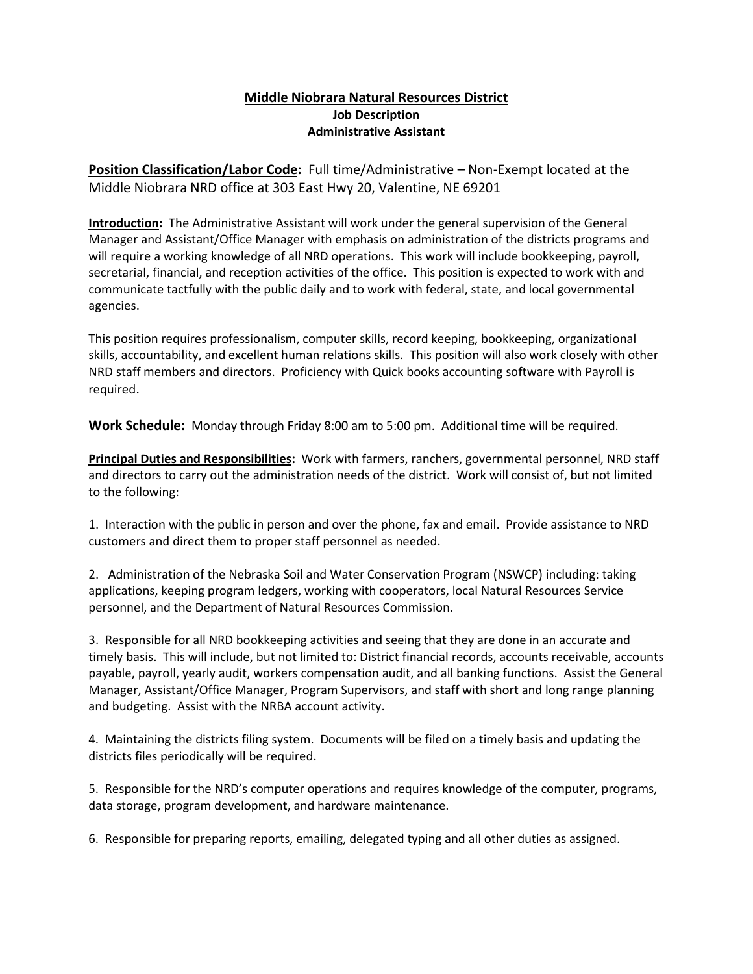## **Middle Niobrara Natural Resources District Job Description Administrative Assistant**

**Position Classification/Labor Code:** Full time/Administrative – Non-Exempt located at the Middle Niobrara NRD office at 303 East Hwy 20, Valentine, NE 69201

**Introduction:** The Administrative Assistant will work under the general supervision of the General Manager and Assistant/Office Manager with emphasis on administration of the districts programs and will require a working knowledge of all NRD operations. This work will include bookkeeping, payroll, secretarial, financial, and reception activities of the office. This position is expected to work with and communicate tactfully with the public daily and to work with federal, state, and local governmental agencies.

This position requires professionalism, computer skills, record keeping, bookkeeping, organizational skills, accountability, and excellent human relations skills. This position will also work closely with other NRD staff members and directors. Proficiency with Quick books accounting software with Payroll is required.

**Work Schedule:** Monday through Friday 8:00 am to 5:00 pm. Additional time will be required.

**Principal Duties and Responsibilities:** Work with farmers, ranchers, governmental personnel, NRD staff and directors to carry out the administration needs of the district. Work will consist of, but not limited to the following:

1. Interaction with the public in person and over the phone, fax and email. Provide assistance to NRD customers and direct them to proper staff personnel as needed.

2. Administration of the Nebraska Soil and Water Conservation Program (NSWCP) including: taking applications, keeping program ledgers, working with cooperators, local Natural Resources Service personnel, and the Department of Natural Resources Commission.

3. Responsible for all NRD bookkeeping activities and seeing that they are done in an accurate and timely basis. This will include, but not limited to: District financial records, accounts receivable, accounts payable, payroll, yearly audit, workers compensation audit, and all banking functions. Assist the General Manager, Assistant/Office Manager, Program Supervisors, and staff with short and long range planning and budgeting. Assist with the NRBA account activity.

4. Maintaining the districts filing system. Documents will be filed on a timely basis and updating the districts files periodically will be required.

5. Responsible for the NRD's computer operations and requires knowledge of the computer, programs, data storage, program development, and hardware maintenance.

6. Responsible for preparing reports, emailing, delegated typing and all other duties as assigned.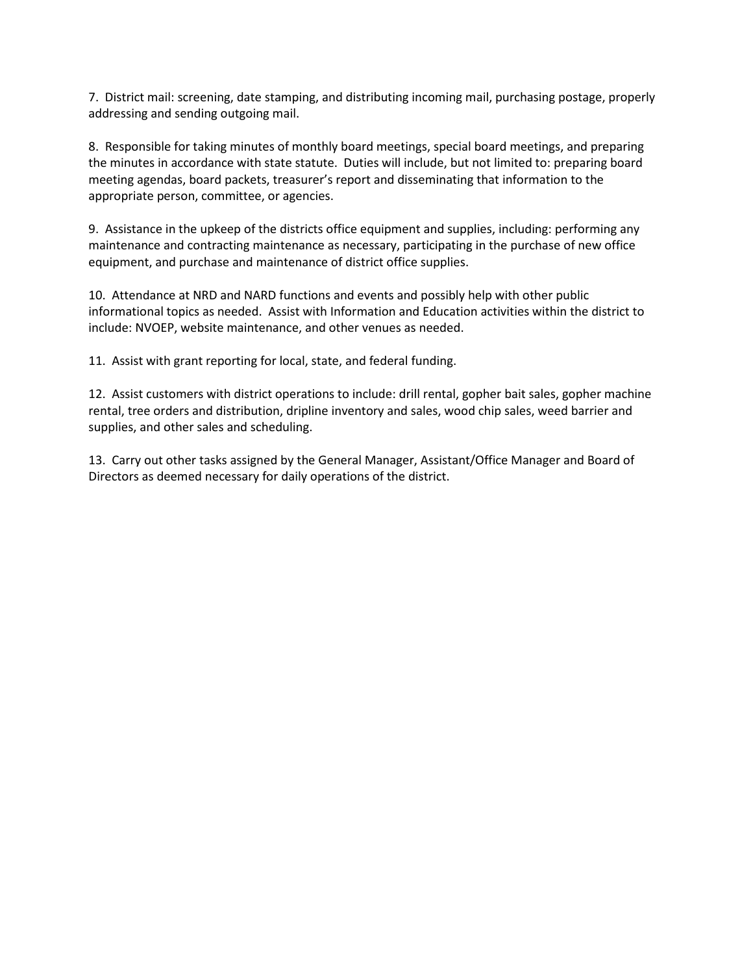7. District mail: screening, date stamping, and distributing incoming mail, purchasing postage, properly addressing and sending outgoing mail.

8. Responsible for taking minutes of monthly board meetings, special board meetings, and preparing the minutes in accordance with state statute. Duties will include, but not limited to: preparing board meeting agendas, board packets, treasurer's report and disseminating that information to the appropriate person, committee, or agencies.

9. Assistance in the upkeep of the districts office equipment and supplies, including: performing any maintenance and contracting maintenance as necessary, participating in the purchase of new office equipment, and purchase and maintenance of district office supplies.

10. Attendance at NRD and NARD functions and events and possibly help with other public informational topics as needed. Assist with Information and Education activities within the district to include: NVOEP, website maintenance, and other venues as needed.

11. Assist with grant reporting for local, state, and federal funding.

12. Assist customers with district operations to include: drill rental, gopher bait sales, gopher machine rental, tree orders and distribution, dripline inventory and sales, wood chip sales, weed barrier and supplies, and other sales and scheduling.

13. Carry out other tasks assigned by the General Manager, Assistant/Office Manager and Board of Directors as deemed necessary for daily operations of the district.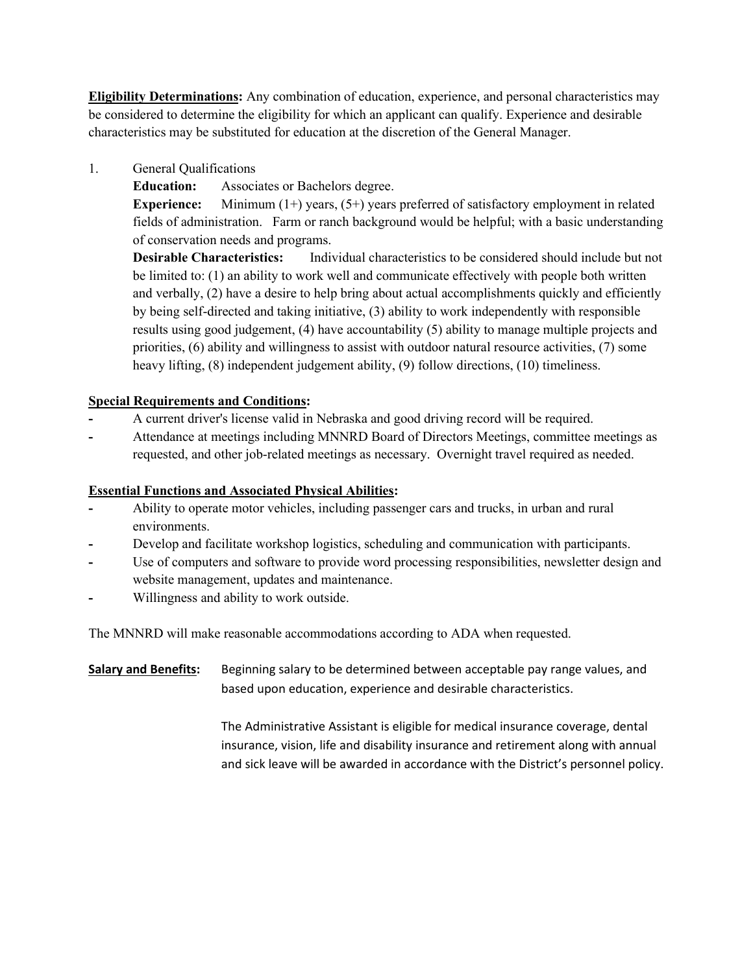**Eligibility Determinations:** Any combination of education, experience, and personal characteristics may be considered to determine the eligibility for which an applicant can qualify. Experience and desirable characteristics may be substituted for education at the discretion of the General Manager.

1. General Qualifications

**Education:** Associates or Bachelors degree.

**Experience:** Minimum (1+) years, (5+) years preferred of satisfactory employment in related fields of administration. Farm or ranch background would be helpful; with a basic understanding of conservation needs and programs.

**Desirable Characteristics:** Individual characteristics to be considered should include but not be limited to: (1) an ability to work well and communicate effectively with people both written and verbally, (2) have a desire to help bring about actual accomplishments quickly and efficiently by being self-directed and taking initiative, (3) ability to work independently with responsible results using good judgement, (4) have accountability (5) ability to manage multiple projects and priorities, (6) ability and willingness to assist with outdoor natural resource activities, (7) some heavy lifting, (8) independent judgement ability, (9) follow directions, (10) timeliness.

## **Special Requirements and Conditions:**

- **-** A current driver's license valid in Nebraska and good driving record will be required.
- **-** Attendance at meetings including MNNRD Board of Directors Meetings, committee meetings as requested, and other job-related meetings as necessary. Overnight travel required as needed.

## **Essential Functions and Associated Physical Abilities:**

- **-** Ability to operate motor vehicles, including passenger cars and trucks, in urban and rural environments.
- **-** Develop and facilitate workshop logistics, scheduling and communication with participants.
- Use of computers and software to provide word processing responsibilities, newsletter design and website management, updates and maintenance.
- **-** Willingness and ability to work outside.

The MNNRD will make reasonable accommodations according to ADA when requested.

**Salary and Benefits:** Beginning salary to be determined between acceptable pay range values, and based upon education, experience and desirable characteristics.

> The Administrative Assistant is eligible for medical insurance coverage, dental insurance, vision, life and disability insurance and retirement along with annual and sick leave will be awarded in accordance with the District's personnel policy.